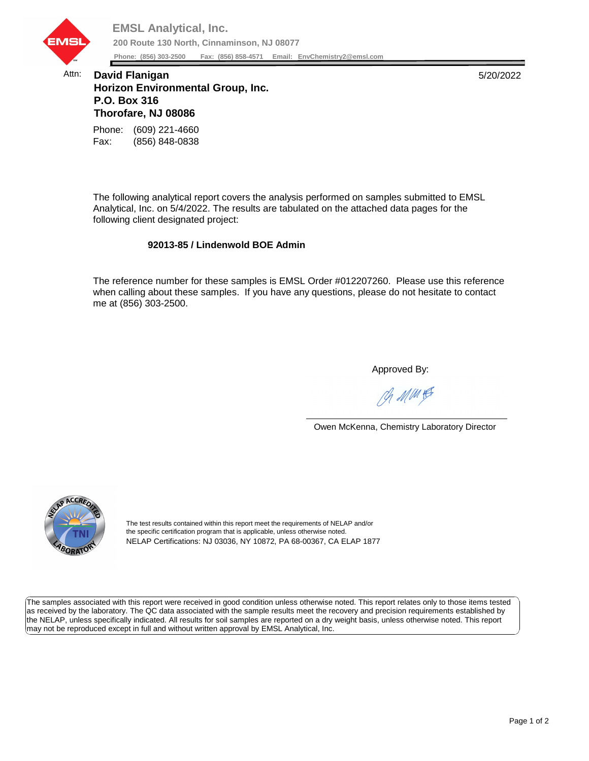

## Attn: **David Flanigan** 5/20/2022 **Horizon Environmental Group, Inc. P.O. Box 316 Thorofare, NJ 08086**

Fax: (856) 848-0838 Phone: (609) 221-4660

The following analytical report covers the analysis performed on samples submitted to EMSL Analytical, Inc. on 5/4/2022. The results are tabulated on the attached data pages for the following client designated project:

## **92013-85 / Lindenwold BOE Admin**

The reference number for these samples is EMSL Order #012207260. Please use this reference when calling about these samples. If you have any questions, please do not hesitate to contact me at (856) 303-2500.

Approved By:

Ph MUMES

Owen McKenna, Chemistry Laboratory Director



The test results contained within this report meet the requirements of NELAP and/or the specific certification program that is applicable, unless otherwise noted. NELAP Certifications: NJ 03036, NY 10872, PA 68-00367, CA ELAP 1877

The samples associated with this report were received in good condition unless otherwise noted. This report relates only to those items tested as received by the laboratory. The QC data associated with the sample results meet the recovery and precision requirements established by the NELAP, unless specifically indicated. All results for soil samples are reported on a dry weight basis, unless otherwise noted. This report may not be reproduced except in full and without written approval by EMSL Analytical, Inc.